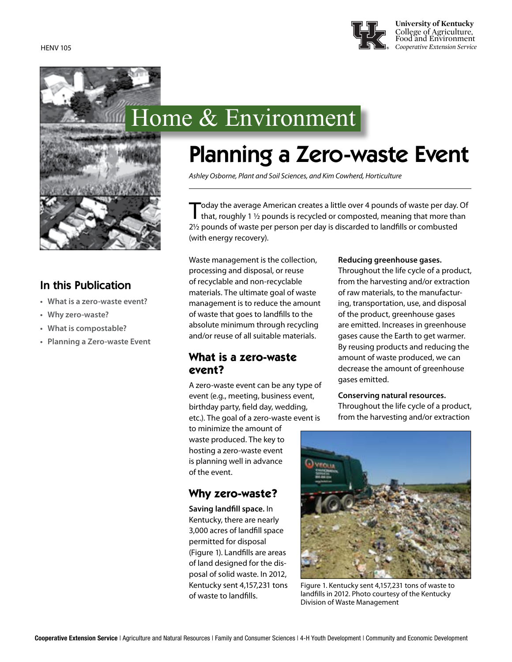

# Home & Environment

### In this Publication

- **• What is a zero-waste event?**
- **• Why zero-waste?**
- **• What is compostable?**
- **• Planning a Zero-waste Event**

## Planning a Zero-waste Event

*Ashley Osborne, Plant and Soil Sciences, and Kim Cowherd, Horticulture*

Today the average American creates a little over 4 pounds of waste per day. Of that, roughly 1 1/2 pounds is recycled or composted, meaning that more than 2½ pounds of waste per person per day is discarded to landfills or combusted (with energy recovery).

Waste management is the collection, processing and disposal, or reuse of recyclable and non-recyclable materials. The ultimate goal of waste management is to reduce the amount of waste that goes to landfills to the absolute minimum through recycling and/or reuse of all suitable materials.

### **What is a zero-waste event?**

A zero-waste event can be any type of event (e.g., meeting, business event, birthday party, field day, wedding, etc.). The goal of a zero-waste event is to minimize the amount of waste produced. The key to hosting a zero-waste event is planning well in advance of the event.

### **Why zero-waste?**

**Saving landfill space.** In Kentucky, there are nearly 3,000 acres of landfill space permitted for disposal (Figure 1). Landfills are areas of land designed for the disposal of solid waste. In 2012, Kentucky sent 4,157,231 tons of waste to landfills.

### **Reducing greenhouse gases.**

Throughout the life cycle of a product, from the harvesting and/or extraction of raw materials, to the manufacturing, transportation, use, and disposal of the product, greenhouse gases are emitted. Increases in greenhouse gases cause the Earth to get warmer. By reusing products and reducing the amount of waste produced, we can decrease the amount of greenhouse gases emitted.

### **Conserving natural resources.**

Throughout the life cycle of a product, from the harvesting and/or extraction



Figure 1. Kentucky sent 4,157,231 tons of waste to landfills in 2012. Photo courtesy of the Kentucky Division of Waste Management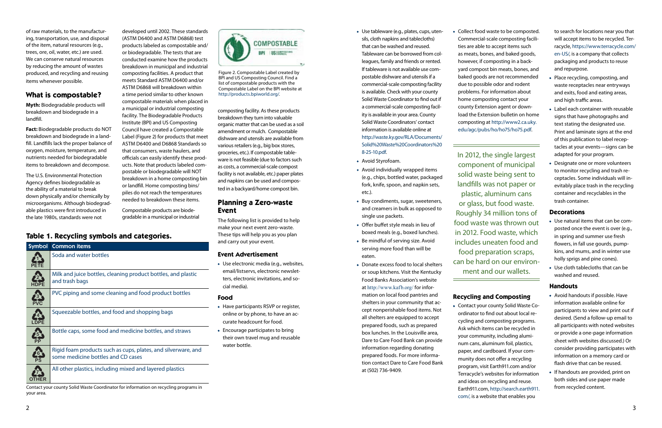of raw materials, to the manufacturing, transportation, use, and disposal of the item, natural resources (e.g., trees, ore, oil, water, etc.) are used. We can conserve natural resources by reducing the amount of wastes produced, and recycling and reusing items whenever possible.

### **What is compostable?**

**Myth:** Biodegradable products will breakdown and biodegrade in a landfill.

**Fact:** Biodegradable products do NOT breakdown and biodegrade in a landfill. Landfills lack the proper balance of oxygen, moisture, temperature, and nutrients needed for biodegradable items to breakdown and decompose.

The U.S. Environmental Protection Agency defines biodegradable as the ability of a material to break down physically and/or chemically by microorganisms. Although biodegradable plastics were first introduced in the late 1980s, standards were not

developed until 2002. These standards (ASTM D6400 and ASTM D6868) test products labeled as compostable and/ or biodegradable. The tests that are conducted examine how the products breakdown in municipal and industrial composting facilities. A product that meets Standard ASTM D6400 and/or ASTM D6868 will breakdown within

a time period similar to other known compostable materials when placed in a municipal or industrial composting facility. The Biodegradable Products Institute (BPI) and US Composting Council have created a Compostable Label (Figure 2) for products that meet ASTM D6400 and D6868 Standards so that consumers, waste haulers, and officials can easily identify these products. Note that products labeled compostable or biodegradable will NOT breakdown in a home composting bin or landfill. Home composting bins/ piles do not reach the temperatures needed to breakdown these items.

Compostable products are biodegradable in a municipal or industrial Figure 2. Compostable Label created by BPI and US Composting Council. Find a list of compostable products with the Compostable Label on the BPI website at [http://products.bpiworld.org/.](http://products.bpiworld.org/)

composting facility. As these products breakdown they turn into valuable organic matter that can be used as a soil amendment or mulch. Compostable dishware and utensils are available from various retailers (e.g., big box stores, groceries, etc.). If compostable tableware is not feasible (due to factors such as costs, a commercial-scale compost facility is not available, etc.) paper plates and napkins can be used and composted in a backyard/home compost bin.

### **Planning a Zero-waste Event**

The following list is provided to help make your next event zero-waste. These tips will help you as you plan and carry out your event.

### **Event Advertisement**

• Use electronic media (e.g., websites, email/listservs, electronic newsletters, electronic invitations, and social media).

### **Food**

- Have participants RSVP or register, online or by phone, to have an accurate headcount for food.
- Encourage participates to bring their own travel mug and reusable water bottle.
- Use tableware (e.g., plates, cups, utensils, cloth napkins and tablecloths) that can be washed and reused. Tableware can be borrowed from colleagues, family and friends or rented. If tableware is not available use compostable dishware and utensils if a commercial-scale composting facility is available. Check with your county Solid Waste Coordinator to find out if a commercial-scale composting facility is available in your area. County Solid Waste Coordinators' contact information is available online at [http://waste.ky.gov/RLA/Documents/](http://waste.ky.gov/RLA/Documents/Solid%20Waste%20Coordinators%208-25-10.pdf) [Solid%20Waste%20Coordinators%20](http://waste.ky.gov/RLA/Documents/Solid%20Waste%20Coordinators%208-25-10.pdf) [8-25-10.pdf.](http://waste.ky.gov/RLA/Documents/Solid%20Waste%20Coordinators%208-25-10.pdf)
- Avoid Styrofoam.
- Avoid individually wrapped items (e.g., chips, bottled water, packaged fork, knife, spoon, and napkin sets, etc.).
- Buy condiments, sugar, sweeteners, and creamers in bulk as opposed to single use packets.
- Offer buffet style meals in lieu of boxed meals (e.g., boxed lunches).
- Be mindful of serving size. Avoid serving more food than will be eaten.
- Donate excess food to local shelters or soup kitchens. Visit the Kentucky Food Banks Association's website at <http://www.kafb.org/> for information on local food pantries and shelters in your community that accept nonperishable food items. Not all shelters are equipped to accept prepared foods, such as prepared box lunches. In the Louisville area, Dare to Care Food Bank can provide information regarding donating prepared foods. For more information contact Dare to Care Food Bank at (502) 736-9409.

• Collect food waste to be composted. Commercial-scale composting facilities are able to accept items such as meats, bones, and baked goods, however, if composting in a backyard compost bin meats, bones, and baked goods are not recommended due to possible odor and rodent problems. For information about home composting contact your county Extension agent or download the Extension bulletin on home composting at [http://www2.ca.uky.](http://www2.ca.uky.edu/agc/pubs/ho/ho75/ho75.pdf) [edu/agc/pubs/ho/ho75/ho75.pdf](http://www2.ca.uky.edu/agc/pubs/ho/ho75/ho75.pdf).

In 2012, the single largest component of municipal solid waste being sent to landfills was not paper or plastic, aluminum cans or glass, but food waste. Roughly 34 million tons of food waste was thrown out in 2012. Food waste, which includes uneaten food and food preparation scraps, can be hard on our environment and our wallets.

### **Recycling and Composting**

• Contact your county Solid Waste Coordinator to find out about local recycling and composting programs. Ask which items can be recycled in your community, including aluminum cans, aluminum foil, plastics, paper, and cardboard. If your community does not offer a recycling program, visit Earth911.com and/or Terracycle's websites for information and ideas on recycling and reuse. Earth911.com, [http://search.earth911.](http://search.earth911.com/) [com/,](http://search.earth911.com/) is a website that enables you

to search for locations near you that will accept items to be recycled. Terracycle, [https://www.terracycle.com/](https://www.terracycle.com/en-US/) [en-US/](https://www.terracycle.com/en-US/), is a company that collects packaging and products to reuse and repurpose.

- Place recycling, composting, and waste receptacles near entryways and exits, food and eating areas, and high traffic areas.
- Label each container with reusable signs that have photographs and text stating the designated use. Print and laminate signs at the end of this publication to label receptacles at your events—signs can be adapted for your program.
- Designate one or more volunteers to monitor recycling and trash receptacles. Some individuals will inevitably place trash in the recycling container and recyclables in the trash container.

### **Decorations**

- Use natural items that can be composted once the event is over (e.g., in spring and summer use fresh flowers, in fall use gourds, pumpkins, and mums, and in winter use holly sprigs and pine cones).
- Use cloth tablecloths that can be washed and reused.

### **Handouts**

- Avoid handouts if possible. Have information available online for participants to view and print out if desired. (Send a follow-up email to all participants with noted websites or provide a one-page information sheet with websites discussed.) Or consider providing participates with information on a memory card or flash drive that can be reused.
- If handouts are provided, print on both sides and use paper made from recycled content.

### **Table 1. Recycling symbols and categories.**

| <b>Symbol</b> | <b>Common items</b>                                                                                 |
|---------------|-----------------------------------------------------------------------------------------------------|
|               | Soda and water bottles                                                                              |
|               | Milk and juice bottles, cleaning product bottles, and plastic<br>and trash bags                     |
|               | PVC piping and some cleaning and food product bottles                                               |
|               | Squeezable bottles, and food and shopping bags                                                      |
|               | Bottle caps, some food and medicine bottles, and straws                                             |
| 6             | Rigid foam products such as cups, plates, and silverware, and<br>some medicine bottles and CD cases |
|               | All other plastics, including mixed and layered plastics                                            |

Contact your county Solid Waste Coordinator for information on recycling programs in your area.

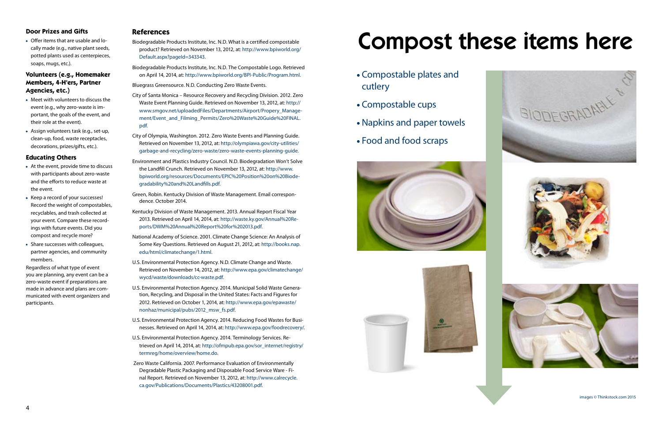

### **Door Prizes and Gifts**

• Offer items that are usable and locally made (e.g., native plant seeds, potted plants used as centerpieces, soaps, mugs, etc.).

### **Volunteers (e.g., Homemaker Members, 4-H'ers, Partner Agencies, etc.)**

- Meet with volunteers to discuss the event (e.g., why zero-waste is important, the goals of the event, and their role at the event).
- Assign volunteers task (e.g., set-up, clean-up, food, waste receptacles, decorations, prizes/gifts, etc.).

### **Educating Others**

- At the event, provide time to discuss with participants about zero-waste and the efforts to reduce waste at the event.
- Keep a record of your successes! Record the weight of compostables, recyclables, and trash collected at your event. Compare these recordings with future events. Did you compost and recycle more?
- Share successes with colleagues, partner agencies, and community members.

Regardless of what type of event you are planning, any event can be a zero-waste event if preparations are made in advance and plans are communicated with event organizers and participants.

### **References**

- Biodegradable Products Institute, Inc. N.D. What is a certified compostable product? Retrieved on November 13, 2012, at: [http://www.bpiworld.org/](http://www.bpiworld.org/Default.aspx?pageId=343343) [Default.aspx?pageId=343343](http://www.bpiworld.org/Default.aspx?pageId=343343).
- Biodegradable Products Institute, Inc. N.D. The Compostable Logo. Retrieved on April 14, 2014, at:<http://www.bpiworld.org/BPI-Public/Program.html>.

Bluegrass Greensource. N.D. Conducting Zero Waste Events.

- City of Santa Monica Resource Recovery and Recycling Division. 2012. Zero Waste Event Planning Guide. Retrieved on November 13, 2012, at: [http://](http://www.smgov.net/uploadedFiles/Departments/Airport/Propery_Management/Event_and_Filming_Permits/Zero%20Waste%20Guide%20FINAL.pdf) [www.smgov.net/uploadedFiles/Departments/Airport/Propery\\_Manage](http://www.smgov.net/uploadedFiles/Departments/Airport/Propery_Management/Event_and_Filming_Permits/Zero%20Waste%20Guide%20FINAL.pdf)[ment/Event\\_and\\_Filming\\_Permits/Zero%20Waste%20Guide%20FINAL.](http://www.smgov.net/uploadedFiles/Departments/Airport/Propery_Management/Event_and_Filming_Permits/Zero%20Waste%20Guide%20FINAL.pdf) [pdf.](http://www.smgov.net/uploadedFiles/Departments/Airport/Propery_Management/Event_and_Filming_Permits/Zero%20Waste%20Guide%20FINAL.pdf)
- City of Olympia, Washington. 2012. Zero Waste Events and Planning Guide. Retrieved on November 13, 2012, at: [http://olympiawa.gov/city-utilities/](http://olympiawa.gov/city-utilities/garbage-and-recycling/zero-waste/zero-waste-events-planning-guide) [garbage-and-recycling/zero-waste/zero-waste-events-planning-guide.](http://olympiawa.gov/city-utilities/garbage-and-recycling/zero-waste/zero-waste-events-planning-guide)
- Environment and Plastics Industry Council. N.D. Biodegradation Won't Solve the Landfill Crunch. Retrieved on November 13, 2012, at: [http://www.](http://www.bpiworld.org/resources/Documents/EPIC%20Position%20on%20Biodegradability%20and%20Landfills.pdf) [bpiworld.org/resources/Documents/EPIC%20Position%20on%20Biode](http://www.bpiworld.org/resources/Documents/EPIC%20Position%20on%20Biodegradability%20and%20Landfills.pdf)[gradability%20and%20Landfills.pdf](http://www.bpiworld.org/resources/Documents/EPIC%20Position%20on%20Biodegradability%20and%20Landfills.pdf).
- Green, Robin. Kentucky Division of Waste Management. Email correspondence. October 2014.
- Kentucky Division of Waste Management. 2013. Annual Report Fiscal Year 2013. Retrieved on April 14, 2014, at: [http://waste.ky.gov/Annual%20Re](http://waste.ky.gov/Annual%20Reports/DWM%20Annual%20Report%20for%202013.pdf)[ports/DWM%20Annual%20Report%20for%202013.pdf.](http://waste.ky.gov/Annual%20Reports/DWM%20Annual%20Report%20for%202013.pdf)
- National Academy of Science. 2001. Climate Change Science: An Analysis of Some Key Questions. Retrieved on August 21, 2012, at: [http://books.nap.](http://books.nap.edu/html/climatechange/1.html) [edu/html/climatechange/1.html.](http://books.nap.edu/html/climatechange/1.html)
- U.S. Environmental Protection Agency. N.D. Climate Change and Waste. Retrieved on November 14, 2012, at: [http://www.epa.gov/climatechange/](http://www.epa.gov/climatechange/wycd/waste/downloads/cc-waste.pdf) [wycd/waste/downloads/cc-waste.pdf](http://www.epa.gov/climatechange/wycd/waste/downloads/cc-waste.pdf).
- U.S. Environmental Protection Agency. 2014. Municipal Solid Waste Generation, Recycling, and Disposal in the United States: Facts and Figures for 2012. Retrieved on October 1, 2014, at: [http://www.epa.gov/epawaste/](http://www.epa.gov/epawaste/nonhaz/municipal/pubs/2012_msw_fs.pdf) [nonhaz/municipal/pubs/2012\\_msw\\_fs.pdf.](http://www.epa.gov/epawaste/nonhaz/municipal/pubs/2012_msw_fs.pdf)
- U.S. Environmental Protection Agency. 2014. Reducing Food Wastes for Businesses. Retrieved on April 14, 2014, at: <http://www.epa.gov/foodrecovery/>.
- U.S. Environmental Protection Agency. 2014. Terminology Services. Retrieved on April 14, 2014, at: [http://ofmpub.epa.gov/sor\\_internet/registry/](http://ofmpub.epa.gov/sor_internet/registry/termreg/home/overview/home.do) [termreg/home/overview/home.do.](http://ofmpub.epa.gov/sor_internet/registry/termreg/home/overview/home.do)
- Zero Waste California. 2007. Performance Evaluation of Environmentally Degradable Plastic Packaging and Disposable Food Service Ware - Final Report. Retrieved on November 13, 2012, at: [http://www.calrecycle.](http://www.calrecycle.ca.gov/Publications/Documents/Plastics/43208001.pdf) [ca.gov/Publications/Documents/Plastics/43208001.pdf](http://www.calrecycle.ca.gov/Publications/Documents/Plastics/43208001.pdf).

# Compost these items here

- Compostable plates and cutlery
- Compostable cups
- Napkins and paper towels
- Food and food scraps





images © Thinkstock.com 2015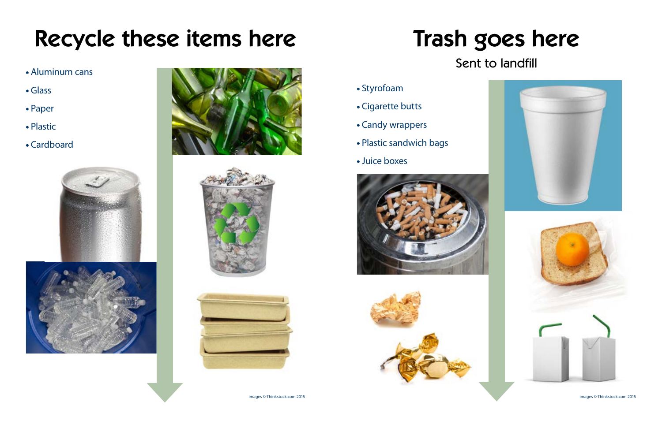# Recycle these items here

- Aluminum cans
- Glass
- Paper
- Plastic
- Cardboard











# Trash goes here Sent to landfill





- 
- 
- 
- Plastic sandwich bags
- Juice boxes

images © Thinkstock.com 2015 images © Thinkstock.com 2015